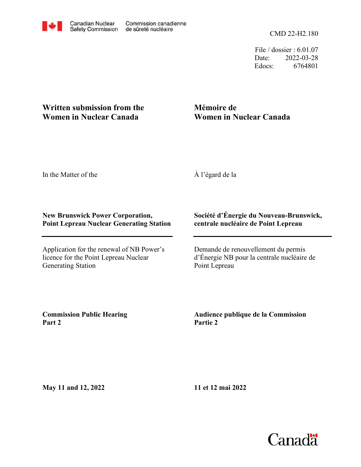CMD 22-H2.180

File / dossier : 6.01.07 Date: 2022-03-28 Edocs: 6764801

## **Written submission from the Women in Nuclear Canada**

# **Mémoire de Women in Nuclear Canada**

In the Matter of the

À l'égard de la

#### **New Brunswick Power Corporation, Point Lepreau Nuclear Generating Station**

Application for the renewal of NB Power's licence for the Point Lepreau Nuclear Generating Station

### **Société d'Énergie du Nouveau-Brunswick, centrale nucléaire de Point Lepreau**

Demande de renouvellement du permis d'Énergie NB pour la centrale nucléaire de Point Lepreau

**Commission Public Hearing Part 2**

**Audience publique de la Commission Partie 2**

**May 11 and 12, 2022**

**11 et 12 mai 2022**

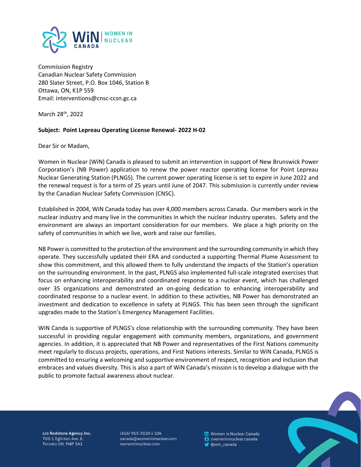

Commission Registry Canadian Nuclear Safety Commission 280 Slater Street, P.O. Box 1046, Station B Ottawa, ON, K1P 559 Email: interventions@cnsc-ccsn.gc.ca

March 28th, 2022

#### **Subject: Point Lepreau Operating License Renewal- 2022 H-02**

Dear Sir or Madam,

Women in Nuclear (WiN) Canada is pleased to submit an intervention in support of New Brunswick Power Corporation's (NB Power) application to renew the power reactor operating license for Point Lepreau Nuclear Generating Station (PLNGS). The current power operating license is set to expire in June 2022 and the renewal request is for a term of 25 years until June of 2047. This submission is currently under review by the Canadian Nuclear Safety Commission (CNSC).

Established in 2004, WiN Canada today has over 4,000 members across Canada. Our members work in the nuclear industry and many live in the communities in which the nuclear industry operates. Safety and the environment are always an important consideration for our members. We place a high priority on the safety of communities in which we live, work and raise our families.

NB Power is committed to the protection of the environment and the surrounding community in which they operate. They successfully updated their ERA and conducted a supporting Thermal Plume Assessment to show this commitment, and this allowed them to fully understand the impacts of the Station's operation on the surrounding environment. In the past, PLNGS also implemented full-scale integrated exercises that focus on enhancing interoperability and coordinated response to a nuclear event, which has challenged over 35 organizations and demonstrated an on-going dedication to enhancing interoperability and coordinated response to a nuclear event. In addition to these activities, NB Power has demonstrated an investment and dedication to excellence in safety at PLNGS. This has been seen through the significant upgrades made to the Station's Emergency Management Facilities.

WiN Canda is supportive of PLNGS's close relationship with the surrounding community. They have been successful in providing regular engagement with community members, organizations, and government agencies. In addition, it is appreciated that NB Power and representatives of the First Nations community meet regularly to discuss projects, operations, and First Nations interests. Similar to WiN Canada, PLNGS is committed to ensuring a welcoming and supportive environment of respect, recognition and inclusion that embraces and values diversity. This is also a part of WiN Canada's mission is to develop a dialogue with the public to promote factual awareness about nuclear.



c/o Redstone Agency Inc. 705-1 Eglinton Ave. E. Toronto ON M4P 3A1

 $(416)$  915-3020 x 106 canada@womeninnuclear.com womeninnuclear.com

in Women in Nuclear Canada **6** /womeninnuclear.canada @win\_canada